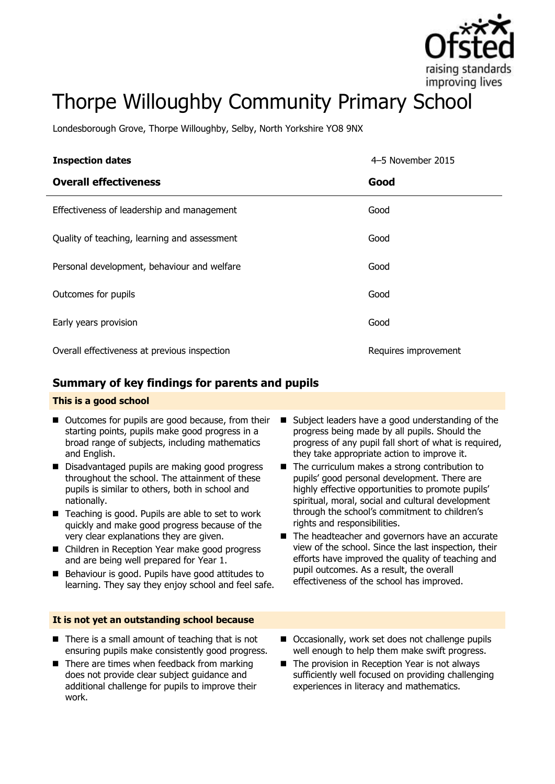

# Thorpe Willoughby Community Primary School

Londesborough Grove, Thorpe Willoughby, Selby, North Yorkshire YO8 9NX

| <b>Inspection dates</b>                      | 4–5 November 2015    |
|----------------------------------------------|----------------------|
| <b>Overall effectiveness</b>                 | Good                 |
| Effectiveness of leadership and management   | Good                 |
| Quality of teaching, learning and assessment | Good                 |
| Personal development, behaviour and welfare  | Good                 |
| Outcomes for pupils                          | Good                 |
| Early years provision                        | Good                 |
| Overall effectiveness at previous inspection | Requires improvement |

## **Summary of key findings for parents and pupils**

### **This is a good school**

- Outcomes for pupils are good because, from their starting points, pupils make good progress in a broad range of subjects, including mathematics and English.
- Disadvantaged pupils are making good progress throughout the school. The attainment of these pupils is similar to others, both in school and nationally.
- Teaching is good. Pupils are able to set to work quickly and make good progress because of the very clear explanations they are given.
- Children in Reception Year make good progress and are being well prepared for Year 1.
- Behaviour is good. Pupils have good attitudes to learning. They say they enjoy school and feel safe.

### **It is not yet an outstanding school because**

- $\blacksquare$  There is a small amount of teaching that is not ensuring pupils make consistently good progress.
- $\blacksquare$  There are times when feedback from marking does not provide clear subject guidance and additional challenge for pupils to improve their work.
- Subject leaders have a good understanding of the progress being made by all pupils. Should the progress of any pupil fall short of what is required, they take appropriate action to improve it.
- $\blacksquare$  The curriculum makes a strong contribution to pupils' good personal development. There are highly effective opportunities to promote pupils' spiritual, moral, social and cultural development through the school's commitment to children's rights and responsibilities.
- The headteacher and governors have an accurate view of the school. Since the last inspection, their efforts have improved the quality of teaching and pupil outcomes. As a result, the overall effectiveness of the school has improved.
- Occasionally, work set does not challenge pupils well enough to help them make swift progress.
- The provision in Reception Year is not always sufficiently well focused on providing challenging experiences in literacy and mathematics.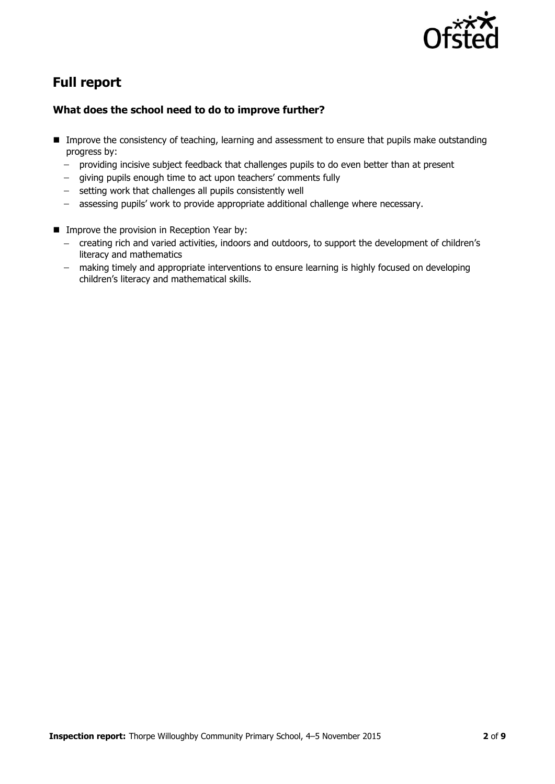

# **Full report**

## **What does the school need to do to improve further?**

- **IMP** Improve the consistency of teaching, learning and assessment to ensure that pupils make outstanding progress by:
	- providing incisive subject feedback that challenges pupils to do even better than at present  $\frac{1}{2}$
	- giving pupils enough time to act upon teachers' comments fully  $\frac{1}{2}$
	- setting work that challenges all pupils consistently well
	- assessing pupils' work to provide appropriate additional challenge where necessary.
- **Improve the provision in Reception Year by:** 
	- creating rich and varied activities, indoors and outdoors, to support the development of children's literacy and mathematics
	- making timely and appropriate interventions to ensure learning is highly focused on developing children's literacy and mathematical skills.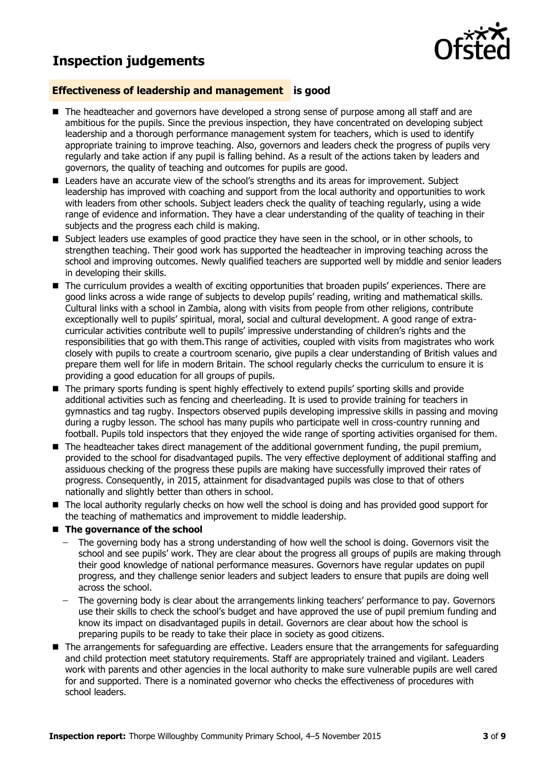# **Inspection judgements**



### **Effectiveness of leadership and management is good**

- The headteacher and governors have developed a strong sense of purpose among all staff and are ambitious for the pupils. Since the previous inspection, they have concentrated on developing subject leadership and a thorough performance management system for teachers, which is used to identify appropriate training to improve teaching. Also, governors and leaders check the progress of pupils very regularly and take action if any pupil is falling behind. As a result of the actions taken by leaders and governors, the quality of teaching and outcomes for pupils are good.
- Leaders have an accurate view of the school's strengths and its areas for improvement. Subject leadership has improved with coaching and support from the local authority and opportunities to work with leaders from other schools. Subject leaders check the quality of teaching regularly, using a wide range of evidence and information. They have a clear understanding of the quality of teaching in their subjects and the progress each child is making.
- Subject leaders use examples of good practice they have seen in the school, or in other schools, to strengthen teaching. Their good work has supported the headteacher in improving teaching across the school and improving outcomes. Newly qualified teachers are supported well by middle and senior leaders in developing their skills.
- The curriculum provides a wealth of exciting opportunities that broaden pupils' experiences. There are good links across a wide range of subjects to develop pupils' reading, writing and mathematical skills. Cultural links with a school in Zambia, along with visits from people from other religions, contribute exceptionally well to pupils' spiritual, moral, social and cultural development. A good range of extracurricular activities contribute well to pupils' impressive understanding of children's rights and the responsibilities that go with them.This range of activities, coupled with visits from magistrates who work closely with pupils to create a courtroom scenario, give pupils a clear understanding of British values and prepare them well for life in modern Britain. The school regularly checks the curriculum to ensure it is providing a good education for all groups of pupils.
- The primary sports funding is spent highly effectively to extend pupils' sporting skills and provide additional activities such as fencing and cheerleading. It is used to provide training for teachers in gymnastics and tag rugby. Inspectors observed pupils developing impressive skills in passing and moving during a rugby lesson. The school has many pupils who participate well in cross-country running and football. Pupils told inspectors that they enjoyed the wide range of sporting activities organised for them.
- The headteacher takes direct management of the additional government funding, the pupil premium, provided to the school for disadvantaged pupils. The very effective deployment of additional staffing and assiduous checking of the progress these pupils are making have successfully improved their rates of progress. Consequently, in 2015, attainment for disadvantaged pupils was close to that of others nationally and slightly better than others in school.
- The local authority regularly checks on how well the school is doing and has provided good support for the teaching of mathematics and improvement to middle leadership.
- The governance of the school
	- The governing body has a strong understanding of how well the school is doing. Governors visit the school and see pupils' work. They are clear about the progress all groups of pupils are making through their good knowledge of national performance measures. Governors have regular updates on pupil progress, and they challenge senior leaders and subject leaders to ensure that pupils are doing well across the school.
	- The governing body is clear about the arrangements linking teachers' performance to pay. Governors use their skills to check the school's budget and have approved the use of pupil premium funding and know its impact on disadvantaged pupils in detail. Governors are clear about how the school is preparing pupils to be ready to take their place in society as good citizens.
- The arrangements for safeguarding are effective. Leaders ensure that the arrangements for safeguarding and child protection meet statutory requirements. Staff are appropriately trained and vigilant. Leaders work with parents and other agencies in the local authority to make sure vulnerable pupils are well cared for and supported. There is a nominated governor who checks the effectiveness of procedures with school leaders.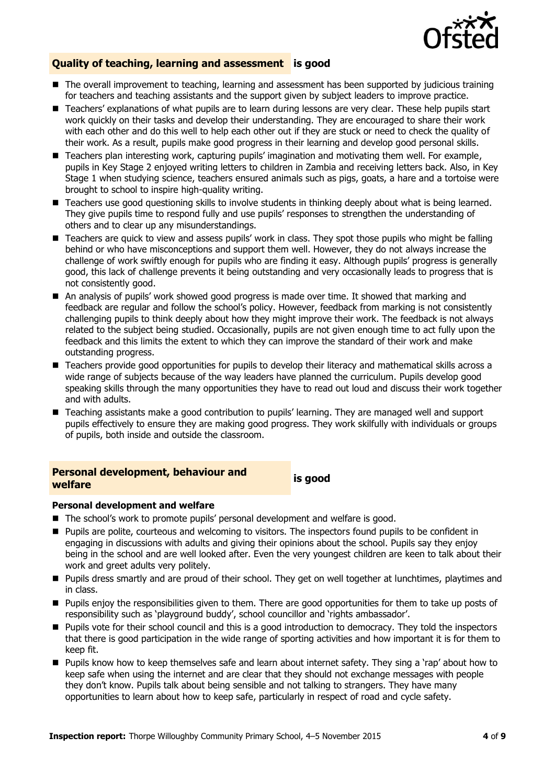

### **Quality of teaching, learning and assessment is good**

- The overall improvement to teaching, learning and assessment has been supported by judicious training for teachers and teaching assistants and the support given by subject leaders to improve practice.
- Teachers' explanations of what pupils are to learn during lessons are very clear. These help pupils start work quickly on their tasks and develop their understanding. They are encouraged to share their work with each other and do this well to help each other out if they are stuck or need to check the quality of their work. As a result, pupils make good progress in their learning and develop good personal skills.
- Teachers plan interesting work, capturing pupils' imagination and motivating them well. For example, pupils in Key Stage 2 enjoyed writing letters to children in Zambia and receiving letters back. Also, in Key Stage 1 when studying science, teachers ensured animals such as pigs, goats, a hare and a tortoise were brought to school to inspire high-quality writing.
- Teachers use good questioning skills to involve students in thinking deeply about what is being learned. They give pupils time to respond fully and use pupils' responses to strengthen the understanding of others and to clear up any misunderstandings.
- Teachers are quick to view and assess pupils' work in class. They spot those pupils who might be falling behind or who have misconceptions and support them well. However, they do not always increase the challenge of work swiftly enough for pupils who are finding it easy. Although pupils' progress is generally good, this lack of challenge prevents it being outstanding and very occasionally leads to progress that is not consistently good.
- An analysis of pupils' work showed good progress is made over time. It showed that marking and feedback are regular and follow the school's policy. However, feedback from marking is not consistently challenging pupils to think deeply about how they might improve their work. The feedback is not always related to the subject being studied. Occasionally, pupils are not given enough time to act fully upon the feedback and this limits the extent to which they can improve the standard of their work and make outstanding progress.
- Teachers provide good opportunities for pupils to develop their literacy and mathematical skills across a wide range of subjects because of the way leaders have planned the curriculum. Pupils develop good speaking skills through the many opportunities they have to read out loud and discuss their work together and with adults.
- Teaching assistants make a good contribution to pupils' learning. They are managed well and support pupils effectively to ensure they are making good progress. They work skilfully with individuals or groups of pupils, both inside and outside the classroom.

# **Personal development, behaviour and welfare is good**

### **Personal development and welfare**

- The school's work to promote pupils' personal development and welfare is good.
- Pupils are polite, courteous and welcoming to visitors. The inspectors found pupils to be confident in engaging in discussions with adults and giving their opinions about the school. Pupils say they enjoy being in the school and are well looked after. Even the very youngest children are keen to talk about their work and greet adults very politely.
- **Pupils dress smartly and are proud of their school. They get on well together at lunchtimes, playtimes and** in class.
- **Pupils enjoy the responsibilities given to them. There are good opportunities for them to take up posts of** responsibility such as 'playground buddy', school councillor and 'rights ambassador'.
- Pupils vote for their school council and this is a good introduction to democracy. They told the inspectors that there is good participation in the wide range of sporting activities and how important it is for them to keep fit.
- Pupils know how to keep themselves safe and learn about internet safety. They sing a 'rap' about how to keep safe when using the internet and are clear that they should not exchange messages with people they don't know. Pupils talk about being sensible and not talking to strangers. They have many opportunities to learn about how to keep safe, particularly in respect of road and cycle safety.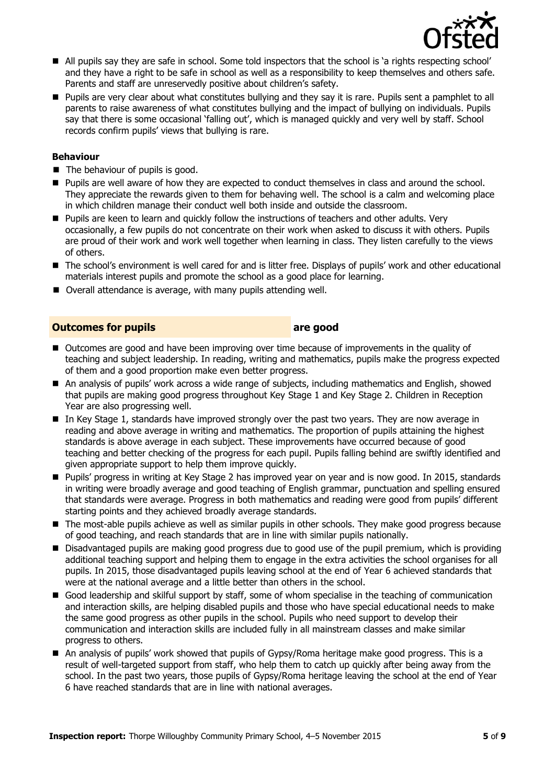

- All pupils say they are safe in school. Some told inspectors that the school is 'a rights respecting school' and they have a right to be safe in school as well as a responsibility to keep themselves and others safe. Parents and staff are unreservedly positive about children's safety.
- **Pupils are very clear about what constitutes bullying and they say it is rare. Pupils sent a pamphlet to all** parents to raise awareness of what constitutes bullying and the impact of bullying on individuals. Pupils say that there is some occasional 'falling out', which is managed quickly and very well by staff. School records confirm pupils' views that bullying is rare.

### **Behaviour**

- The behaviour of pupils is good.
- **Pupils are well aware of how they are expected to conduct themselves in class and around the school.** They appreciate the rewards given to them for behaving well. The school is a calm and welcoming place in which children manage their conduct well both inside and outside the classroom.
- **Pupils are keen to learn and quickly follow the instructions of teachers and other adults. Very** occasionally, a few pupils do not concentrate on their work when asked to discuss it with others. Pupils are proud of their work and work well together when learning in class. They listen carefully to the views of others.
- The school's environment is well cared for and is litter free. Displays of pupils' work and other educational materials interest pupils and promote the school as a good place for learning.
- Overall attendance is average, with many pupils attending well.

### **Outcomes for pupils are good**

- Outcomes are good and have been improving over time because of improvements in the quality of teaching and subject leadership. In reading, writing and mathematics, pupils make the progress expected of them and a good proportion make even better progress.
- An analysis of pupils' work across a wide range of subjects, including mathematics and English, showed that pupils are making good progress throughout Key Stage 1 and Key Stage 2. Children in Reception Year are also progressing well.
- In Key Stage 1, standards have improved strongly over the past two years. They are now average in reading and above average in writing and mathematics. The proportion of pupils attaining the highest standards is above average in each subject. These improvements have occurred because of good teaching and better checking of the progress for each pupil. Pupils falling behind are swiftly identified and given appropriate support to help them improve quickly.
- Pupils' progress in writing at Key Stage 2 has improved year on year and is now good. In 2015, standards in writing were broadly average and good teaching of English grammar, punctuation and spelling ensured that standards were average. Progress in both mathematics and reading were good from pupils' different starting points and they achieved broadly average standards.
- The most-able pupils achieve as well as similar pupils in other schools. They make good progress because of good teaching, and reach standards that are in line with similar pupils nationally.
- **Disadvantaged pupils are making good progress due to good use of the pupil premium, which is providing 1** additional teaching support and helping them to engage in the extra activities the school organises for all pupils. In 2015, those disadvantaged pupils leaving school at the end of Year 6 achieved standards that were at the national average and a little better than others in the school.
- Good leadership and skilful support by staff, some of whom specialise in the teaching of communication and interaction skills, are helping disabled pupils and those who have special educational needs to make the same good progress as other pupils in the school. Pupils who need support to develop their communication and interaction skills are included fully in all mainstream classes and make similar progress to others.
- An analysis of pupils' work showed that pupils of Gypsy/Roma heritage make good progress. This is a result of well-targeted support from staff, who help them to catch up quickly after being away from the school. In the past two years, those pupils of Gypsy/Roma heritage leaving the school at the end of Year 6 have reached standards that are in line with national averages.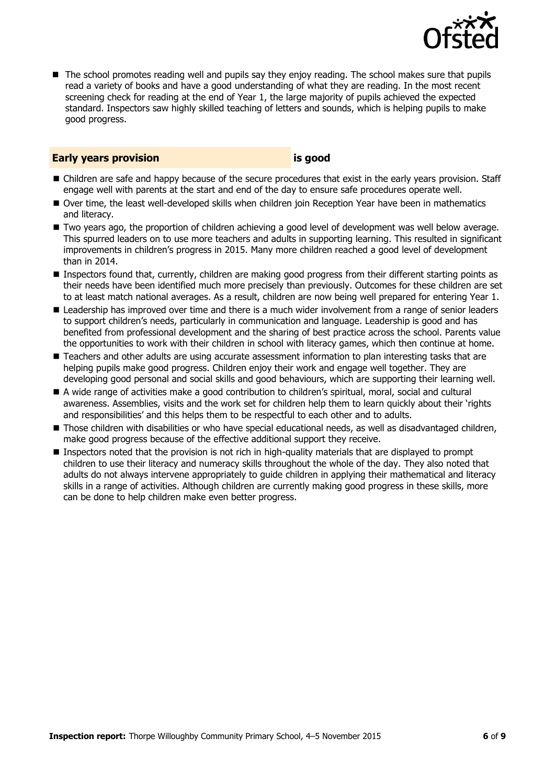

■ The school promotes reading well and pupils say they enjoy reading. The school makes sure that pupils read a variety of books and have a good understanding of what they are reading. In the most recent screening check for reading at the end of Year 1, the large majority of pupils achieved the expected standard. Inspectors saw highly skilled teaching of letters and sounds, which is helping pupils to make good progress.

### **Early years provision is good**

- Children are safe and happy because of the secure procedures that exist in the early years provision. Staff engage well with parents at the start and end of the day to ensure safe procedures operate well.
- Over time, the least well-developed skills when children join Reception Year have been in mathematics and literacy.
- Two years ago, the proportion of children achieving a good level of development was well below average. This spurred leaders on to use more teachers and adults in supporting learning. This resulted in significant improvements in children's progress in 2015. Many more children reached a good level of development than in 2014.
- Inspectors found that, currently, children are making good progress from their different starting points as their needs have been identified much more precisely than previously. Outcomes for these children are set to at least match national averages. As a result, children are now being well prepared for entering Year 1.
- **E** Leadership has improved over time and there is a much wider involvement from a range of senior leaders to support children's needs, particularly in communication and language. Leadership is good and has benefited from professional development and the sharing of best practice across the school. Parents value the opportunities to work with their children in school with literacy games, which then continue at home.
- **Teachers and other adults are using accurate assessment information to plan interesting tasks that are** helping pupils make good progress. Children enjoy their work and engage well together. They are developing good personal and social skills and good behaviours, which are supporting their learning well.
- A wide range of activities make a good contribution to children's spiritual, moral, social and cultural awareness. Assemblies, visits and the work set for children help them to learn quickly about their 'rights and responsibilities' and this helps them to be respectful to each other and to adults.
- Those children with disabilities or who have special educational needs, as well as disadvantaged children, make good progress because of the effective additional support they receive.
- **Inspectors noted that the provision is not rich in high-quality materials that are displayed to prompt** children to use their literacy and numeracy skills throughout the whole of the day. They also noted that adults do not always intervene appropriately to guide children in applying their mathematical and literacy skills in a range of activities. Although children are currently making good progress in these skills, more can be done to help children make even better progress.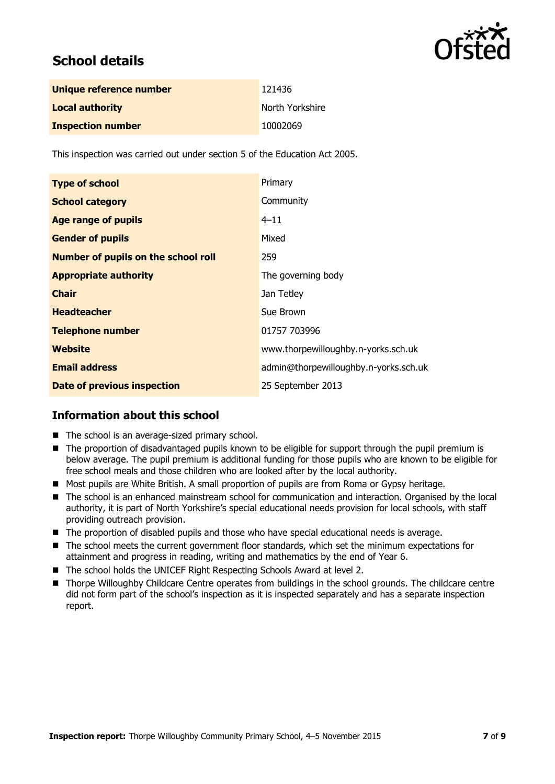

# **School details**

| Unique reference number  | 121436          |
|--------------------------|-----------------|
| <b>Local authority</b>   | North Yorkshire |
| <b>Inspection number</b> | 10002069        |

This inspection was carried out under section 5 of the Education Act 2005.

| <b>Type of school</b>                      | Primary                               |
|--------------------------------------------|---------------------------------------|
| <b>School category</b>                     | Community                             |
| <b>Age range of pupils</b>                 | $4 - 11$                              |
| <b>Gender of pupils</b>                    | Mixed                                 |
| <b>Number of pupils on the school roll</b> | 259                                   |
| <b>Appropriate authority</b>               | The governing body                    |
| <b>Chair</b>                               | Jan Tetley                            |
| <b>Headteacher</b>                         | Sue Brown                             |
| <b>Telephone number</b>                    | 01757 703996                          |
| Website                                    | www.thorpewilloughby.n-yorks.sch.uk   |
| <b>Email address</b>                       | admin@thorpewilloughby.n-yorks.sch.uk |
| <b>Date of previous inspection</b>         | 25 September 2013                     |

## **Information about this school**

- The school is an average-sized primary school.
- The proportion of disadvantaged pupils known to be eligible for support through the pupil premium is below average. The pupil premium is additional funding for those pupils who are known to be eligible for free school meals and those children who are looked after by the local authority.
- Most pupils are White British. A small proportion of pupils are from Roma or Gypsy heritage.
- The school is an enhanced mainstream school for communication and interaction. Organised by the local authority, it is part of North Yorkshire's special educational needs provision for local schools, with staff providing outreach provision.
- The proportion of disabled pupils and those who have special educational needs is average.
- The school meets the current government floor standards, which set the minimum expectations for attainment and progress in reading, writing and mathematics by the end of Year 6.
- The school holds the UNICEF Right Respecting Schools Award at level 2.
- Thorpe Willoughby Childcare Centre operates from buildings in the school grounds. The childcare centre did not form part of the school's inspection as it is inspected separately and has a separate inspection report.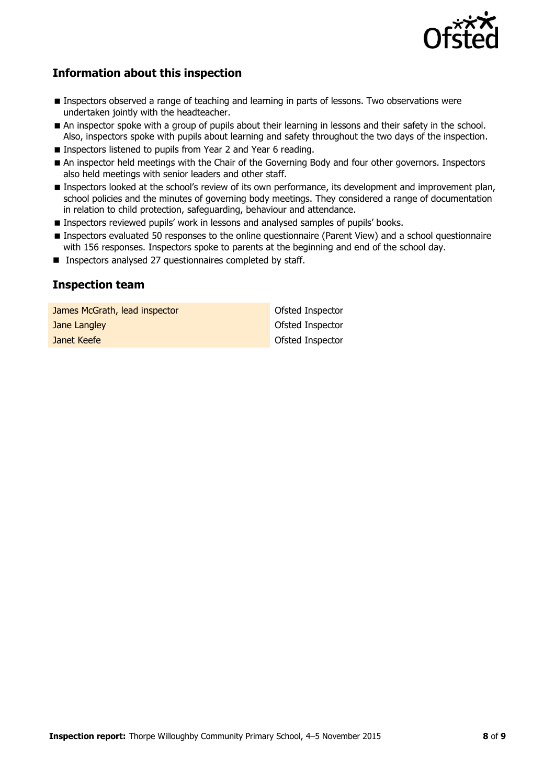

# **Information about this inspection**

- **Inspectors observed a range of teaching and learning in parts of lessons. Two observations were** undertaken jointly with the headteacher.
- An inspector spoke with a group of pupils about their learning in lessons and their safety in the school. Also, inspectors spoke with pupils about learning and safety throughout the two days of the inspection.
- Inspectors listened to pupils from Year 2 and Year 6 reading.
- An inspector held meetings with the Chair of the Governing Body and four other governors. Inspectors also held meetings with senior leaders and other staff.
- **Inspectors looked at the school's review of its own performance, its development and improvement plan,** school policies and the minutes of governing body meetings. They considered a range of documentation in relation to child protection, safeguarding, behaviour and attendance.
- **Inspectors reviewed pupils' work in lessons and analysed samples of pupils' books.**
- Inspectors evaluated 50 responses to the online questionnaire (Parent View) and a school questionnaire with 156 responses. Inspectors spoke to parents at the beginning and end of the school day.
- **Inspectors analysed 27 questionnaires completed by staff.**

## **Inspection team**

**James McGrath, lead inspector Construction Construction Construction Construction Jane Langley Contract Contract Contract Contract Contract Contract Contract Contract Contract Contract Contract Contract Contract Contract Contract Contract Contract Contract Contract Contract Contract Contract Contract C Janet Keefe Ofsted Inspector**